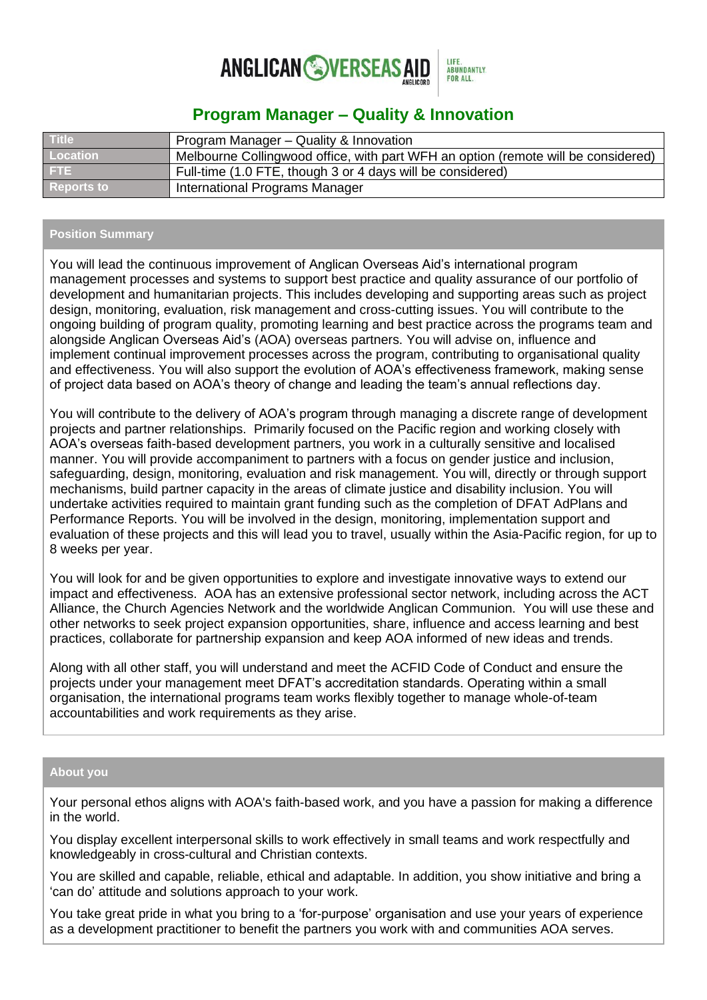

# **Program Manager – Quality & Innovation**

| <b>Title</b>      | Program Manager - Quality & Innovation                                            |
|-------------------|-----------------------------------------------------------------------------------|
| Location          | Melbourne Collingwood office, with part WFH an option (remote will be considered) |
| FTE.              | Full-time (1.0 FTE, though 3 or 4 days will be considered)                        |
| <b>Reports to</b> | International Programs Manager                                                    |

#### **Position Summary**

You will lead the continuous improvement of Anglican Overseas Aid's international program management processes and systems to support best practice and quality assurance of our portfolio of development and humanitarian projects. This includes developing and supporting areas such as project design, monitoring, evaluation, risk management and cross-cutting issues. You will contribute to the ongoing building of program quality, promoting learning and best practice across the programs team and alongside Anglican Overseas Aid's (AOA) overseas partners. You will advise on, influence and implement continual improvement processes across the program, contributing to organisational quality and effectiveness. You will also support the evolution of AOA's effectiveness framework, making sense of project data based on AOA's theory of change and leading the team's annual reflections day.

You will contribute to the delivery of AOA's program through managing a discrete range of development projects and partner relationships. Primarily focused on the Pacific region and working closely with AOA's overseas faith-based development partners, you work in a culturally sensitive and localised manner. You will provide accompaniment to partners with a focus on gender justice and inclusion, safeguarding, design, monitoring, evaluation and risk management. You will, directly or through support mechanisms, build partner capacity in the areas of climate justice and disability inclusion. You will undertake activities required to maintain grant funding such as the completion of DFAT AdPlans and Performance Reports. You will be involved in the design, monitoring, implementation support and evaluation of these projects and this will lead you to travel, usually within the Asia-Pacific region, for up to 8 weeks per year.

You will look for and be given opportunities to explore and investigate innovative ways to extend our impact and effectiveness. AOA has an extensive professional sector network, including across the ACT Alliance, the Church Agencies Network and the worldwide Anglican Communion. You will use these and other networks to seek project expansion opportunities, share, influence and access learning and best practices, collaborate for partnership expansion and keep AOA informed of new ideas and trends.

Along with all other staff, you will understand and meet the ACFID Code of Conduct and ensure the projects under your management meet DFAT's accreditation standards. Operating within a small organisation, the international programs team works flexibly together to manage whole-of-team accountabilities and work requirements as they arise.

### **About you**

Your personal ethos aligns with AOA's faith-based work, and you have a passion for making a difference in the world.

You display excellent interpersonal skills to work effectively in small teams and work respectfully and knowledgeably in cross-cultural and Christian contexts.

You are skilled and capable, reliable, ethical and adaptable. In addition, you show initiative and bring a 'can do' attitude and solutions approach to your work.

You take great pride in what you bring to a 'for-purpose' organisation and use your years of experience as a development practitioner to benefit the partners you work with and communities AOA serves.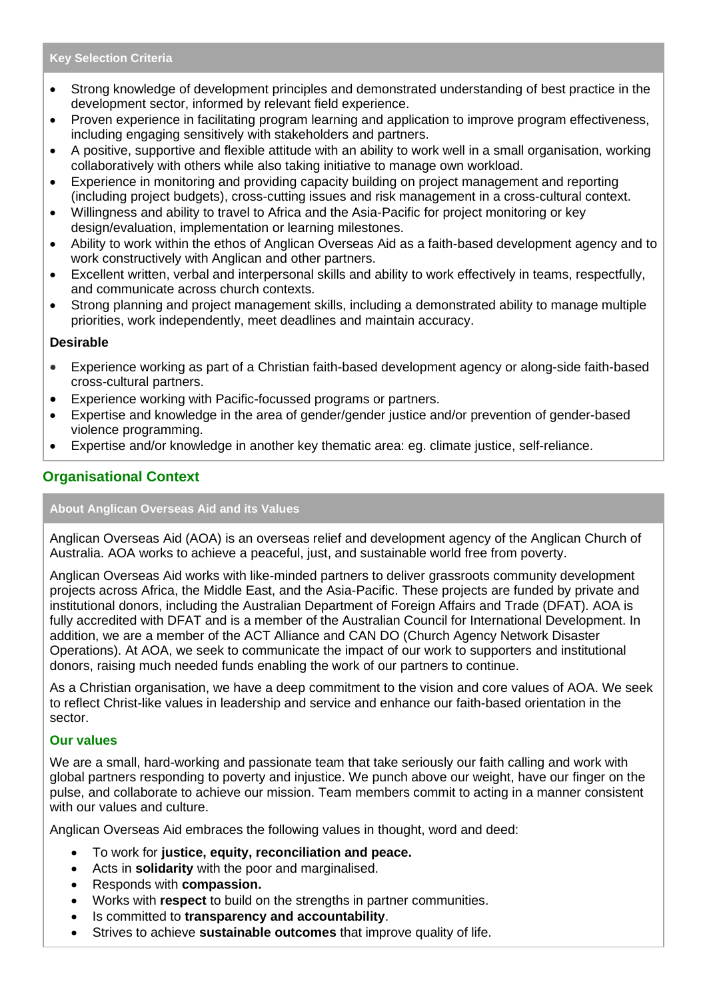#### **Key Selection Criteria**

- Strong knowledge of development principles and demonstrated understanding of best practice in the development sector, informed by relevant field experience.
- Proven experience in facilitating program learning and application to improve program effectiveness, including engaging sensitively with stakeholders and partners.
- A positive, supportive and flexible attitude with an ability to work well in a small organisation, working collaboratively with others while also taking initiative to manage own workload.
- Experience in monitoring and providing capacity building on project management and reporting (including project budgets), cross-cutting issues and risk management in a cross-cultural context.
- Willingness and ability to travel to Africa and the Asia-Pacific for project monitoring or key design/evaluation, implementation or learning milestones.
- Ability to work within the ethos of Anglican Overseas Aid as a faith-based development agency and to work constructively with Anglican and other partners.
- Excellent written, verbal and interpersonal skills and ability to work effectively in teams, respectfully, and communicate across church contexts.
- Strong planning and project management skills, including a demonstrated ability to manage multiple priorities, work independently, meet deadlines and maintain accuracy.

### **Desirable**

- Experience working as part of a Christian faith-based development agency or along-side faith-based cross-cultural partners.
- Experience working with Pacific-focussed programs or partners.
- Expertise and knowledge in the area of gender/gender justice and/or prevention of gender-based violence programming.
- Expertise and/or knowledge in another key thematic area: eg. climate justice, self-reliance.

## **Organisational Context**

#### **About Anglican Overseas Aid and its Values**

Anglican Overseas Aid (AOA) is an overseas relief and development agency of the Anglican Church of Australia. AOA works to achieve a peaceful, just, and sustainable world free from poverty.

Anglican Overseas Aid works with like-minded partners to deliver grassroots community development projects across Africa, the Middle East, and the Asia-Pacific. These projects are funded by private and institutional donors, including the Australian Department of Foreign Affairs and Trade (DFAT). AOA is fully accredited with DFAT and is a member of the Australian Council for International Development. In addition, we are a member of the ACT Alliance and CAN DO (Church Agency Network Disaster Operations). At AOA, we seek to communicate the impact of our work to supporters and institutional donors, raising much needed funds enabling the work of our partners to continue.

As a Christian organisation, we have a deep commitment to the vision and core values of AOA. We seek to reflect Christ-like values in leadership and service and enhance our faith-based orientation in the sector.

#### **Our values**

We are a small, hard-working and passionate team that take seriously our faith calling and work with global partners responding to poverty and injustice. We punch above our weight, have our finger on the pulse, and collaborate to achieve our mission. Team members commit to acting in a manner consistent with our values and culture.

Anglican Overseas Aid embraces the following values in thought, word and deed:

- To work for **justice, equity, reconciliation and peace.**
- Acts in **solidarity** with the poor and marginalised.
- Responds with **compassion.**
- Works with **respect** to build on the strengths in partner communities.
- Is committed to **transparency and accountability**.
- Strives to achieve **sustainable outcomes** that improve quality of life.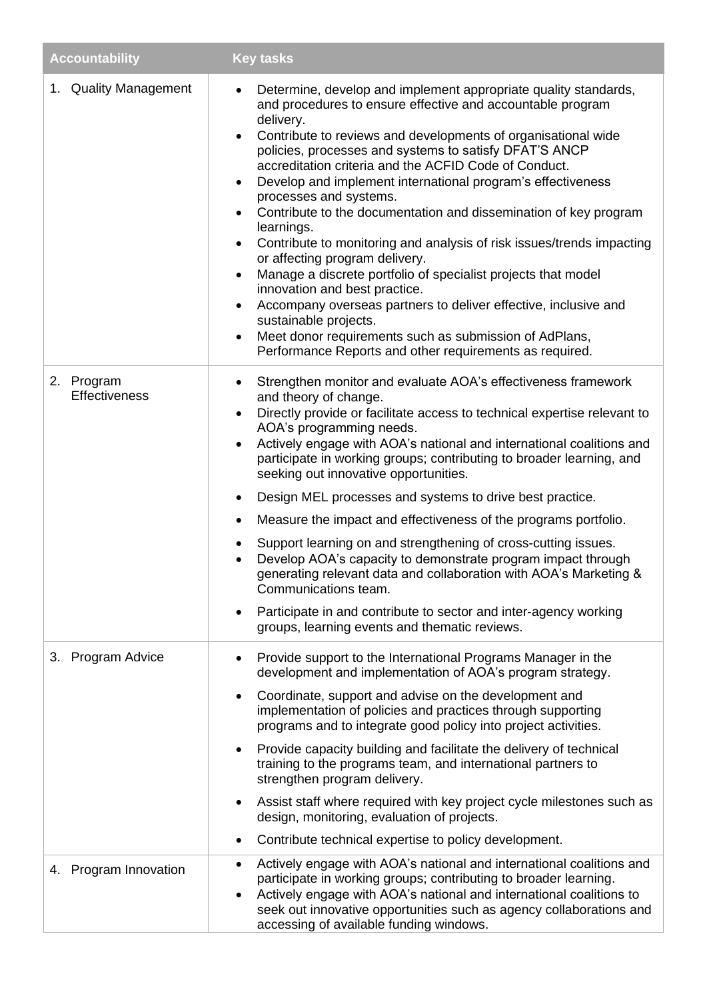| <b>Accountability</b>       | <b>Key tasks</b>                                                                                                                                                                                                                                                                                                                                                                                                                                                                                                                                                                                                                                                                                                                                                                                                                                                                                                                                                                                                   |
|-----------------------------|--------------------------------------------------------------------------------------------------------------------------------------------------------------------------------------------------------------------------------------------------------------------------------------------------------------------------------------------------------------------------------------------------------------------------------------------------------------------------------------------------------------------------------------------------------------------------------------------------------------------------------------------------------------------------------------------------------------------------------------------------------------------------------------------------------------------------------------------------------------------------------------------------------------------------------------------------------------------------------------------------------------------|
| 1. Quality Management       | Determine, develop and implement appropriate quality standards,<br>and procedures to ensure effective and accountable program<br>delivery.<br>Contribute to reviews and developments of organisational wide<br>$\bullet$<br>policies, processes and systems to satisfy DFAT'S ANCP<br>accreditation criteria and the ACFID Code of Conduct.<br>Develop and implement international program's effectiveness<br>٠<br>processes and systems.<br>Contribute to the documentation and dissemination of key program<br>$\bullet$<br>learnings.<br>Contribute to monitoring and analysis of risk issues/trends impacting<br>$\bullet$<br>or affecting program delivery.<br>Manage a discrete portfolio of specialist projects that model<br>٠<br>innovation and best practice.<br>Accompany overseas partners to deliver effective, inclusive and<br>$\bullet$<br>sustainable projects.<br>Meet donor requirements such as submission of AdPlans,<br>$\bullet$<br>Performance Reports and other requirements as required. |
| 2. Program<br>Effectiveness | Strengthen monitor and evaluate AOA's effectiveness framework<br>$\bullet$<br>and theory of change.<br>Directly provide or facilitate access to technical expertise relevant to<br>$\bullet$<br>AOA's programming needs.<br>Actively engage with AOA's national and international coalitions and<br>$\bullet$<br>participate in working groups; contributing to broader learning, and<br>seeking out innovative opportunities.<br>Design MEL processes and systems to drive best practice.<br>٠<br>Measure the impact and effectiveness of the programs portfolio.<br>٠<br>Support learning on and strengthening of cross-cutting issues.<br>٠<br>Develop AOA's capacity to demonstrate program impact through<br>generating relevant data and collaboration with AOA's Marketing &<br>Communications team.<br>Participate in and contribute to sector and inter-agency working<br>$\bullet$<br>groups, learning events and thematic reviews.                                                                      |
| 3. Program Advice           | Provide support to the International Programs Manager in the<br>$\bullet$<br>development and implementation of AOA's program strategy.<br>Coordinate, support and advise on the development and<br>$\bullet$<br>implementation of policies and practices through supporting<br>programs and to integrate good policy into project activities.<br>Provide capacity building and facilitate the delivery of technical<br>$\bullet$<br>training to the programs team, and international partners to<br>strengthen program delivery.<br>Assist staff where required with key project cycle milestones such as<br>$\bullet$<br>design, monitoring, evaluation of projects.<br>Contribute technical expertise to policy development.<br>$\bullet$<br>Actively engage with AOA's national and international coalitions and<br>$\bullet$                                                                                                                                                                                   |
| 4. Program Innovation       | participate in working groups; contributing to broader learning.<br>Actively engage with AOA's national and international coalitions to<br>$\bullet$<br>seek out innovative opportunities such as agency collaborations and<br>accessing of available funding windows.                                                                                                                                                                                                                                                                                                                                                                                                                                                                                                                                                                                                                                                                                                                                             |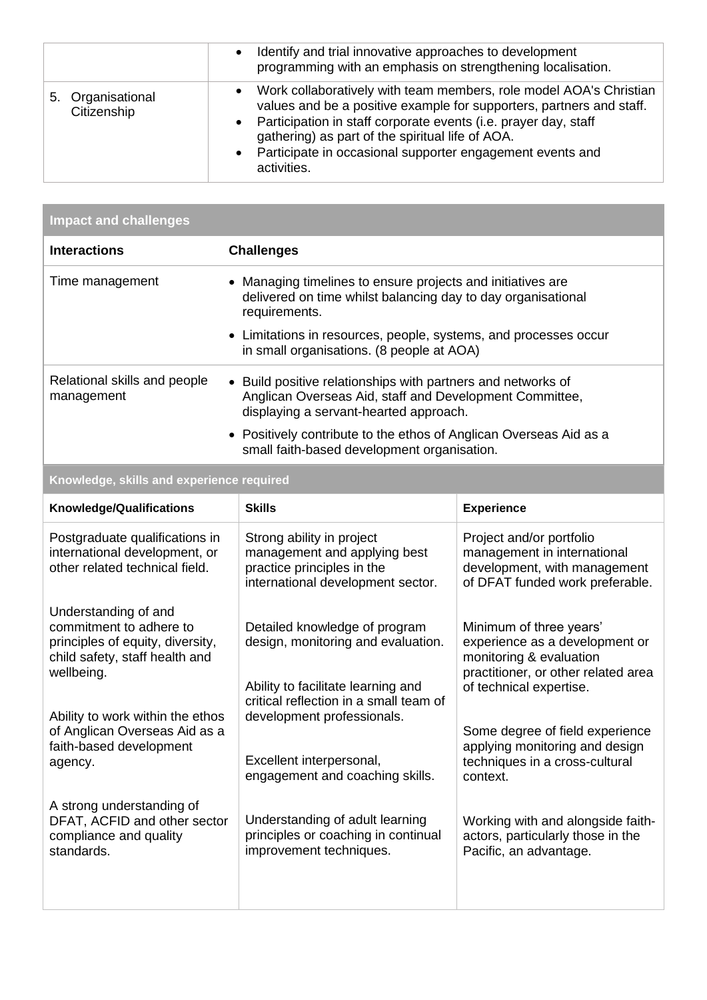|                                     | Identify and trial innovative approaches to development<br>$\bullet$<br>programming with an emphasis on strengthening localisation.                                                                                                                                                                                                                            |
|-------------------------------------|----------------------------------------------------------------------------------------------------------------------------------------------------------------------------------------------------------------------------------------------------------------------------------------------------------------------------------------------------------------|
| Organisational<br>5.<br>Citizenship | Work collaboratively with team members, role model AOA's Christian<br>$\bullet$<br>values and be a positive example for supporters, partners and staff.<br>• Participation in staff corporate events (i.e. prayer day, staff<br>gathering) as part of the spiritual life of AOA.<br>• Participate in occasional supporter engagement events and<br>activities. |

| <b>Impact and challenges</b>               |                                                                                                                                                                   |  |  |
|--------------------------------------------|-------------------------------------------------------------------------------------------------------------------------------------------------------------------|--|--|
| <b>Interactions</b>                        | <b>Challenges</b>                                                                                                                                                 |  |  |
| Time management                            | • Managing timelines to ensure projects and initiatives are<br>delivered on time whilst balancing day to day organisational<br>requirements.                      |  |  |
|                                            | • Limitations in resources, people, systems, and processes occur<br>in small organisations. (8 people at AOA)                                                     |  |  |
| Relational skills and people<br>management | • Build positive relationships with partners and networks of<br>Anglican Overseas Aid, staff and Development Committee,<br>displaying a servant-hearted approach. |  |  |
|                                            | • Positively contribute to the ethos of Anglican Overseas Aid as a<br>small faith-based development organisation.                                                 |  |  |
|                                            |                                                                                                                                                                   |  |  |

# **Knowledge, skills and experience required**

| <b>Knowledge/Qualifications</b>                                                                                                     | <b>Skills</b>                                                                                                                | <b>Experience</b>                                                                                                                                      |
|-------------------------------------------------------------------------------------------------------------------------------------|------------------------------------------------------------------------------------------------------------------------------|--------------------------------------------------------------------------------------------------------------------------------------------------------|
| Postgraduate qualifications in<br>international development, or<br>other related technical field.                                   | Strong ability in project<br>management and applying best<br>practice principles in the<br>international development sector. | Project and/or portfolio<br>management in international<br>development, with management<br>of DFAT funded work preferable.                             |
| Understanding of and<br>commitment to adhere to<br>principles of equity, diversity,<br>child safety, staff health and<br>wellbeing. | Detailed knowledge of program<br>design, monitoring and evaluation.                                                          | Minimum of three years'<br>experience as a development or<br>monitoring & evaluation<br>practitioner, or other related area<br>of technical expertise. |
| Ability to work within the ethos                                                                                                    | Ability to facilitate learning and<br>critical reflection in a small team of<br>development professionals.                   |                                                                                                                                                        |
| of Anglican Overseas Aid as a<br>faith-based development<br>agency.                                                                 | Excellent interpersonal,<br>engagement and coaching skills.                                                                  | Some degree of field experience<br>applying monitoring and design<br>techniques in a cross-cultural<br>context.                                        |
| A strong understanding of<br>DFAT, ACFID and other sector<br>compliance and quality<br>standards.                                   | Understanding of adult learning<br>principles or coaching in continual<br>improvement techniques.                            | Working with and alongside faith-<br>actors, particularly those in the<br>Pacific, an advantage.                                                       |
|                                                                                                                                     |                                                                                                                              |                                                                                                                                                        |